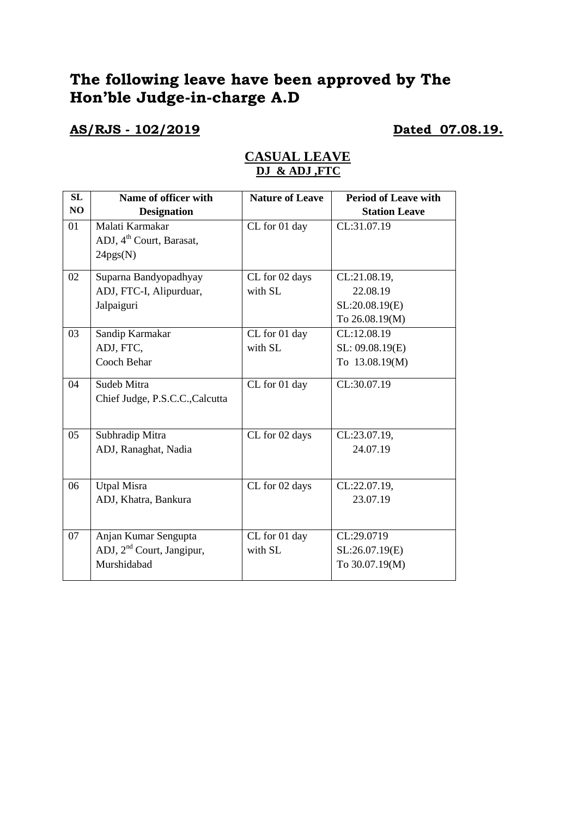# **The following leave have been approved by The Hon'ble Judge-in-charge A.D**

## **AS/RJS - 102/2019 Dated 07.08.19.**

| SL | Name of officer with                  | <b>Nature of Leave</b> | <b>Period of Leave with</b> |
|----|---------------------------------------|------------------------|-----------------------------|
|    |                                       |                        |                             |
| NO | <b>Designation</b>                    |                        | <b>Station Leave</b>        |
| 01 | Malati Karmakar                       | CL for 01 day          | CL:31.07.19                 |
|    | ADJ, 4 <sup>th</sup> Court, Barasat,  |                        |                             |
|    | 24pgs(N)                              |                        |                             |
| 02 | Suparna Bandyopadhyay                 | CL for 02 days         | CL:21.08.19,                |
|    | ADJ, FTC-I, Alipurduar,               | with SL                | 22.08.19                    |
|    | Jalpaiguri                            |                        | SL:20.08.19(E)              |
|    |                                       |                        | To 26.08.19(M)              |
| 03 | Sandip Karmakar                       | CL for 01 day          | CL:12.08.19                 |
|    | ADJ, FTC,                             | with SL                | SL: 09.08.19(E)             |
|    | Cooch Behar                           |                        | To 13.08.19(M)              |
| 04 | Sudeb Mitra                           | CL for 01 day          | CL:30.07.19                 |
|    | Chief Judge, P.S.C.C., Calcutta       |                        |                             |
|    |                                       |                        |                             |
| 05 | Subhradip Mitra                       | CL for 02 days         | CL:23.07.19,                |
|    | ADJ, Ranaghat, Nadia                  |                        | 24.07.19                    |
|    |                                       |                        |                             |
| 06 | <b>Utpal Misra</b>                    | CL for 02 days         | CL:22.07.19,                |
|    | ADJ, Khatra, Bankura                  |                        | 23.07.19                    |
|    |                                       |                        |                             |
| 07 | Anjan Kumar Sengupta                  | CL for 01 day          | CL:29.0719                  |
|    | ADJ, 2 <sup>nd</sup> Court, Jangipur, | with SL                | SL:26.07.19(E)              |
|    | Murshidabad                           |                        | To 30.07.19(M)              |
|    |                                       |                        |                             |

## **CASUAL LEAVE DJ & ADJ ,FTC**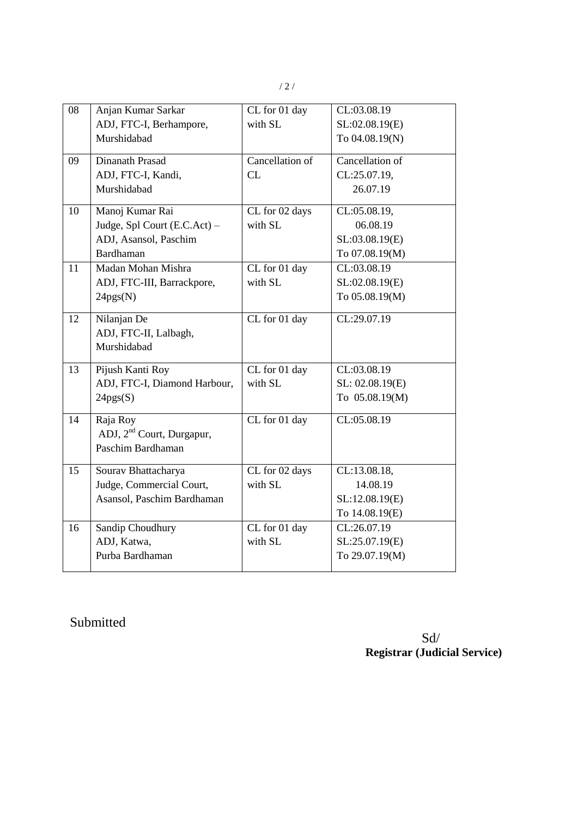| 08 | Anjan Kumar Sarkar                    | CL for 01 day   | CL:03.08.19     |
|----|---------------------------------------|-----------------|-----------------|
|    | ADJ, FTC-I, Berhampore,               | with SL         | SL:02.08.19(E)  |
|    |                                       |                 |                 |
|    | Murshidabad                           |                 | To 04.08.19(N)  |
| 09 | Dinanath Prasad                       | Cancellation of | Cancellation of |
|    | ADJ, FTC-I, Kandi,                    | CL              | CL:25.07.19,    |
|    | Murshidabad                           |                 | 26.07.19        |
| 10 | Manoj Kumar Rai                       | CL for 02 days  | CL:05.08.19,    |
|    | Judge, Spl Court (E.C.Act) -          | with SL         | 06.08.19        |
|    | ADJ, Asansol, Paschim                 |                 | SL:03.08.19(E)  |
|    | <b>Bardhaman</b>                      |                 | To 07.08.19(M)  |
| 11 | Madan Mohan Mishra                    | CL for 01 day   | CL:03.08.19     |
|    | ADJ, FTC-III, Barrackpore,            | with SL         | SL:02.08.19(E)  |
|    | 24pgs(N)                              |                 | To 05.08.19(M)  |
| 12 | Nilanjan De                           | CL for 01 day   | CL:29.07.19     |
|    | ADJ, FTC-II, Lalbagh,                 |                 |                 |
|    | Murshidabad                           |                 |                 |
| 13 | Pijush Kanti Roy                      | CL for 01 day   | CL:03.08.19     |
|    | ADJ, FTC-I, Diamond Harbour,          | with SL         | SL: 02.08.19(E) |
|    | 24pgs(S)                              |                 | To 05.08.19(M)  |
| 14 | Raja Roy                              | CL for 01 day   | CL:05.08.19     |
|    | ADJ, 2 <sup>nd</sup> Court, Durgapur, |                 |                 |
|    | Paschim Bardhaman                     |                 |                 |
| 15 | Sourav Bhattacharya                   | CL for 02 days  | CL:13.08.18,    |
|    | Judge, Commercial Court,              | with SL         | 14.08.19        |
|    | Asansol, Paschim Bardhaman            |                 | SL:12.08.19(E)  |
|    |                                       |                 | To 14.08.19(E)  |
| 16 | Sandip Choudhury                      | CL for 01 day   | CL:26.07.19     |
|    | ADJ, Katwa,                           | with SL         | SL:25.07.19(E)  |
|    | Purba Bardhaman                       |                 | To 29.07.19(M)  |
|    |                                       |                 |                 |

Submitted

 Sd/ **Registrar (Judicial Service)**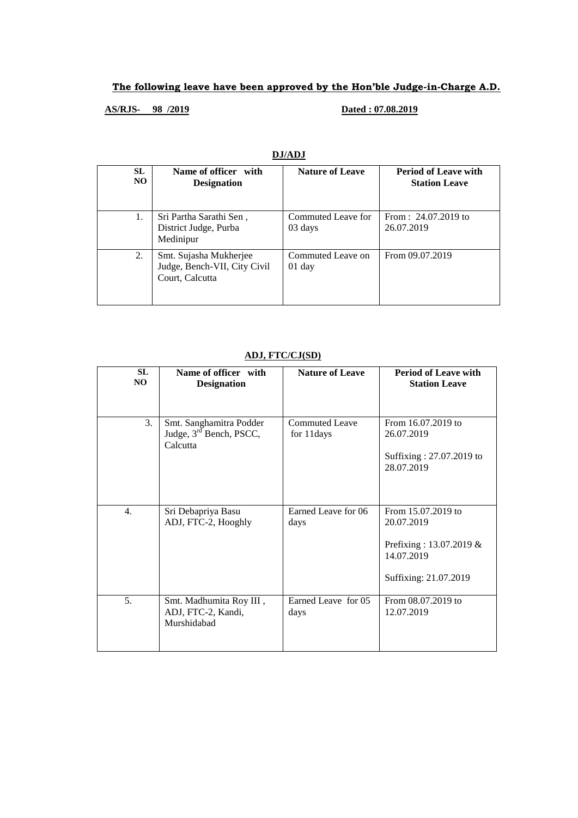### **The following leave have been approved by the Hon'ble Judge-in-Charge A.D.**

### **AS/RJS- 98 /2019 Dated : 07.08.2019**

| SL.<br>NO. | Name of officer with<br><b>Designation</b>                                | <b>Nature of Leave</b>        | <b>Period of Leave with</b><br><b>Station Leave</b> |
|------------|---------------------------------------------------------------------------|-------------------------------|-----------------------------------------------------|
| 1.         | Sri Partha Sarathi Sen,<br>District Judge, Purba<br>Medinipur             | Commuted Leave for<br>03 days | From: $24.07.2019$ to<br>26.07.2019                 |
| 2.         | Smt. Sujasha Mukherjee<br>Judge, Bench-VII, City Civil<br>Court, Calcutta | Commuted Leave on<br>$01$ day | From 09.07.2019                                     |

#### **DJ/ADJ**

#### **ADJ, FTC/CJ(SD)**

| SL<br>NO         | Name of officer with<br><b>Designation</b>                                 | <b>Nature of Leave</b>              | <b>Period of Leave with</b><br><b>Station Leave</b> |
|------------------|----------------------------------------------------------------------------|-------------------------------------|-----------------------------------------------------|
| 3.               | Smt. Sanghamitra Podder<br>Judge, 3 <sup>rd</sup> Bench, PSCC,<br>Calcutta | <b>Commuted Leave</b><br>for 11days | From 16.07.2019 to<br>26.07.2019                    |
|                  |                                                                            |                                     | Suffixing: 27.07.2019 to<br>28.07.2019              |
| $\overline{4}$ . | Sri Debapriya Basu<br>ADJ, FTC-2, Hooghly                                  | Earned Leave for 06<br>days         | From 15.07.2019 to<br>20.07.2019                    |
|                  |                                                                            |                                     | Prefixing: 13.07.2019 &<br>14.07.2019               |
|                  |                                                                            |                                     | Suffixing: 21.07.2019                               |
| 5.               | Smt. Madhumita Roy III,<br>ADJ, FTC-2, Kandi,<br>Murshidabad               | Earned Leave for 05<br>days         | From 08.07.2019 to<br>12.07.2019                    |